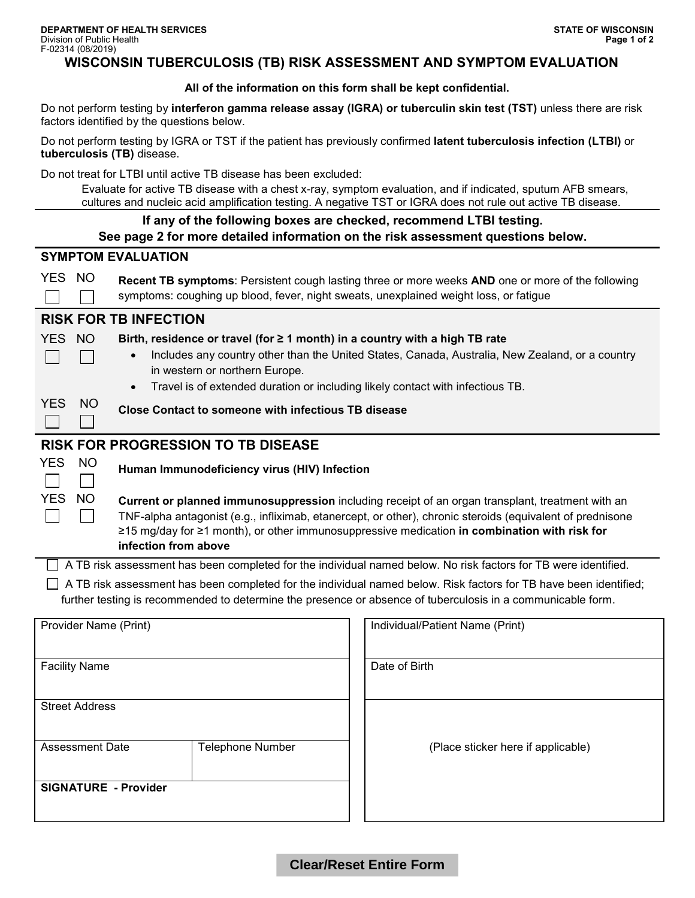# **WISCONSIN TUBERCULOSIS (TB) RISK ASSESSMENT AND SYMPTOM EVALUATION**

**All of the information on this form shall be kept confidential.**

Do not perform testing by **interferon gamma release assay (IGRA) or tuberculin skin test (TST)** unless there are risk factors identified by the questions below.

Do not perform testing by IGRA or TST if the patient has previously confirmed **latent tuberculosis infection (LTBI)** or **tuberculosis (TB)** disease.

Do not treat for LTBI until active TB disease has been excluded:

Evaluate for active TB disease with a chest x-ray, symptom evaluation, and if indicated, sputum AFB smears, cultures and nucleic acid amplification testing. A negative TST or IGRA does not rule out active TB disease.

| <u>oditareo dira maoicio dola diripilitodion teodrigi. A negative TOT or TOTV Caoco not raio odi dotivo TD diocdoc</u>                                                                                                                                                                                                                                           |                                                            |  |                                                                                                                                                                                                                                    |
|------------------------------------------------------------------------------------------------------------------------------------------------------------------------------------------------------------------------------------------------------------------------------------------------------------------------------------------------------------------|------------------------------------------------------------|--|------------------------------------------------------------------------------------------------------------------------------------------------------------------------------------------------------------------------------------|
| If any of the following boxes are checked, recommend LTBI testing.<br>See page 2 for more detailed information on the risk assessment questions below.                                                                                                                                                                                                           |                                                            |  |                                                                                                                                                                                                                                    |
| <b>SYMPTOM EVALUATION</b>                                                                                                                                                                                                                                                                                                                                        |                                                            |  |                                                                                                                                                                                                                                    |
| YES NO<br>Recent TB symptoms: Persistent cough lasting three or more weeks AND one or more of the following<br>symptoms: coughing up blood, fever, night sweats, unexplained weight loss, or fatigue                                                                                                                                                             |                                                            |  |                                                                                                                                                                                                                                    |
| <b>RISK FOR TB INFECTION</b>                                                                                                                                                                                                                                                                                                                                     |                                                            |  |                                                                                                                                                                                                                                    |
| <b>YES</b><br><b>NO</b><br>Birth, residence or travel (for ≥ 1 month) in a country with a high TB rate<br>Includes any country other than the United States, Canada, Australia, New Zealand, or a country<br>in western or northern Europe.<br>Travel is of extended duration or including likely contact with infectious TB.                                    |                                                            |  |                                                                                                                                                                                                                                    |
| <b>YES</b><br><b>NO</b>                                                                                                                                                                                                                                                                                                                                          | <b>Close Contact to someone with infectious TB disease</b> |  |                                                                                                                                                                                                                                    |
| RISK FOR PROGRESSION TO TB DISEASE                                                                                                                                                                                                                                                                                                                               |                                                            |  |                                                                                                                                                                                                                                    |
| <b>YES</b><br><b>NO</b>                                                                                                                                                                                                                                                                                                                                          | Human Immunodeficiency virus (HIV) Infection               |  |                                                                                                                                                                                                                                    |
| <b>YES</b><br><b>NO</b><br>Current or planned immunosuppression including receipt of an organ transplant, treatment with an<br>TNF-alpha antagonist (e.g., infliximab, etanercept, or other), chronic steroids (equivalent of prednisone<br>≥15 mg/day for ≥1 month), or other immunosuppressive medication in combination with risk for<br>infection from above |                                                            |  |                                                                                                                                                                                                                                    |
| □ A TB risk assessment has been completed for the individual named below. No risk factors for TB were identified.                                                                                                                                                                                                                                                |                                                            |  |                                                                                                                                                                                                                                    |
|                                                                                                                                                                                                                                                                                                                                                                  |                                                            |  | □ A TB risk assessment has been completed for the individual named below. Risk factors for TB have been identified;<br>further testing is recommended to determine the presence or absence of tuberculosis in a communicable form. |
| Provider Name (Print)                                                                                                                                                                                                                                                                                                                                            |                                                            |  | Individual/Patient Name (Print)                                                                                                                                                                                                    |
| <b>Facility Name</b>                                                                                                                                                                                                                                                                                                                                             |                                                            |  | Date of Birth                                                                                                                                                                                                                      |
| <b>Street Address</b>                                                                                                                                                                                                                                                                                                                                            |                                                            |  |                                                                                                                                                                                                                                    |
| Assessment Date                                                                                                                                                                                                                                                                                                                                                  | <b>Telephone Number</b>                                    |  | (Place sticker here if applicable)                                                                                                                                                                                                 |
| <b>SIGNATURE - Provider</b>                                                                                                                                                                                                                                                                                                                                      |                                                            |  |                                                                                                                                                                                                                                    |